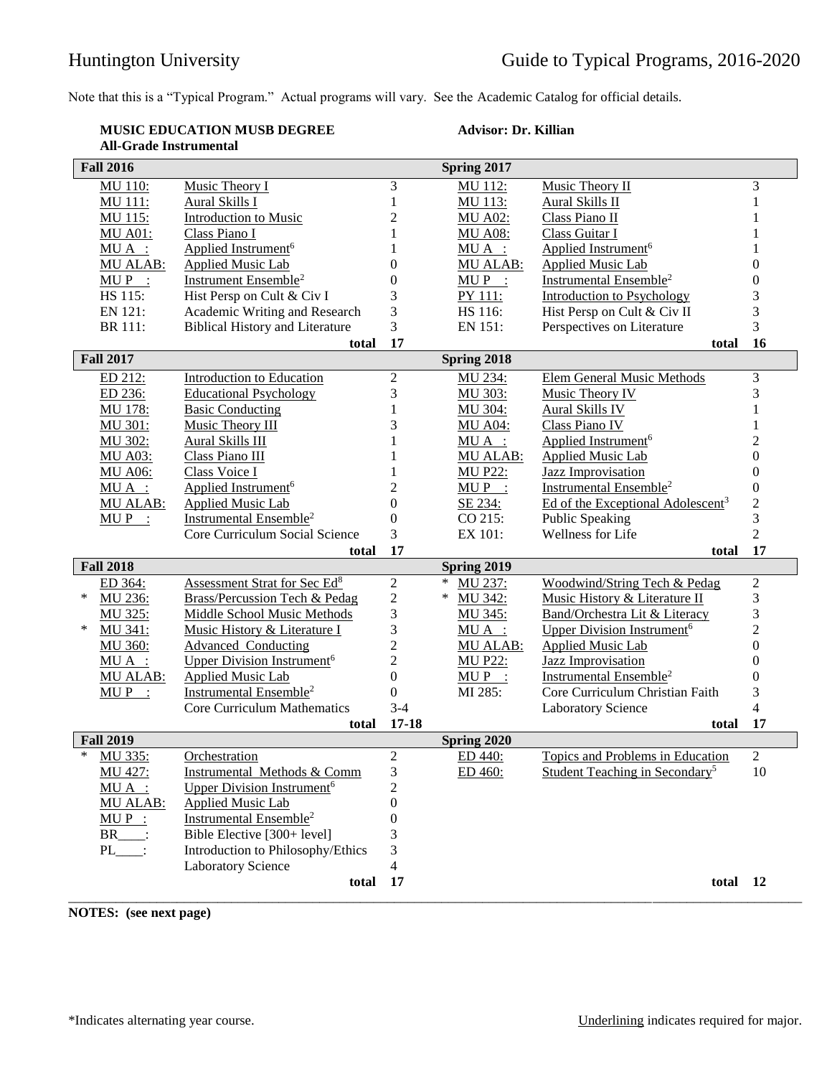Note that this is a "Typical Program." Actual programs will vary. See the Academic Catalog for official details.

## **MUSIC EDUCATION MUSB DEGREE All-Grade Instrumental**

## **Advisor: Dr. Killian**

| <b>Fall 2016</b> |                                                                      |                  | Spring 2017     |                                               |                                  |
|------------------|----------------------------------------------------------------------|------------------|-----------------|-----------------------------------------------|----------------------------------|
| <b>MU 110:</b>   | Music Theory I                                                       | 3                | MU 112:         | Music Theory II                               | 3                                |
| MU 111:          | Aural Skills I                                                       | 1                | MU 113:         | Aural Skills II                               | 1                                |
| MU 115:          | <b>Introduction to Music</b>                                         | 2                | <b>MU A02:</b>  | Class Piano II                                | 1                                |
| <b>MU A01:</b>   | Class Piano I                                                        | 1                | <b>MU A08:</b>  | Class Guitar I                                | 1                                |
| $MU A$ :         | Applied Instrument <sup>6</sup>                                      | 1                | $MU A$ :        | Applied Instrument <sup>6</sup>               | 1                                |
| MU ALAB:         | <b>Applied Music Lab</b>                                             | 0                | MU ALAB:        | <b>Applied Music Lab</b>                      | $\boldsymbol{0}$                 |
| $MUP$ :          | Instrument Ensemble <sup>2</sup>                                     | 0                | $MUP$ :         | Instrumental Ensemble <sup>2</sup>            | $\boldsymbol{0}$                 |
| HS 115:          | Hist Persp on Cult & Civ I                                           | 3                | PY 111:         | <b>Introduction to Psychology</b>             | 3                                |
| EN 121:          | Academic Writing and Research                                        | 3                | HS 116:         | Hist Persp on Cult & Civ II                   | 3                                |
| BR 111:          | <b>Biblical History and Literature</b>                               | 3                | EN 151:         | Perspectives on Literature                    | 3                                |
|                  | total                                                                | 17               |                 | total                                         | 16                               |
| <b>Fall 2017</b> |                                                                      |                  | Spring 2018     |                                               |                                  |
| ED 212:          | <b>Introduction to Education</b>                                     | $\overline{c}$   | MU 234:         | <b>Elem General Music Methods</b>             | 3                                |
| ED 236:          | <b>Educational Psychology</b>                                        | 3                | MU 303:         | Music Theory IV                               | 3                                |
| <b>MU 178:</b>   | <b>Basic Conducting</b>                                              | 1                | MU 304:         | <b>Aural Skills IV</b>                        | $\mathbf{1}$                     |
| MU 301:          | Music Theory III                                                     | 3                | <b>MU A04:</b>  | Class Piano IV                                | 1                                |
| MU 302:          | Aural Skills III                                                     |                  | $MU A$ :        | Applied Instrument <sup>6</sup>               | $\overline{c}$                   |
| <b>MU A03:</b>   | Class Piano III                                                      |                  | <b>MU ALAB:</b> | <b>Applied Music Lab</b>                      | $\boldsymbol{0}$                 |
| <b>MU A06:</b>   | Class Voice I                                                        |                  | <b>MU P22:</b>  | Jazz Improvisation                            | $\boldsymbol{0}$                 |
| $MU A$ :         | Applied Instrument <sup>6</sup>                                      | 2                | $MUP$ :         | Instrumental Ensemble <sup>2</sup>            | $\boldsymbol{0}$                 |
|                  |                                                                      | $\theta$         |                 |                                               |                                  |
| MU ALAB:         | <b>Applied Music Lab</b><br><b>Instrumental Ensemble<sup>2</sup></b> | $\theta$         | SE 234:         | Ed of the Exceptional Adolescent <sup>3</sup> | $\overline{c}$<br>$\overline{3}$ |
| $MUP$ :          |                                                                      |                  | CO 215:         | Public Speaking                               | $\overline{2}$                   |
|                  | Core Curriculum Social Science                                       | 3                | EX 101:         | Wellness for Life                             |                                  |
|                  | total                                                                | 17               |                 | total                                         | 17                               |
| <b>Fall 2018</b> |                                                                      |                  | Spring 2019     |                                               |                                  |
| ED 364:          | Assessment Strat for Sec Ed <sup>8</sup>                             | $\overline{c}$   | MU 237:         | Woodwind/String Tech & Pedag                  | $\overline{c}$                   |
| ∗<br>MU 236:     | <b>Brass/Percussion Tech &amp; Pedag</b>                             | $\overline{c}$   | *<br>MU 342:    | Music History & Literature II                 | 3                                |
| MU 325:          | Middle School Music Methods                                          | 3                | MU 345:         | Band/Orchestra Lit & Literacy                 | 3                                |
| MU 341:<br>*     | Music History & Literature I                                         | 3                | MUA :           | Upper Division Instrument <sup>6</sup>        | $\overline{c}$                   |
| MU 360:          | <b>Advanced Conducting</b>                                           | $\overline{c}$   | MU ALAB:        | <b>Applied Music Lab</b>                      | $\boldsymbol{0}$                 |
| $MU A$ :         | Upper Division Instrument <sup>6</sup>                               | $\overline{c}$   | <b>MU P22:</b>  | <b>Jazz Improvisation</b>                     | $\boldsymbol{0}$                 |
| MU ALAB:         | <b>Applied Music Lab</b>                                             | $\theta$         | $MUP$ :         | Instrumental Ensemble <sup>2</sup>            | $\boldsymbol{0}$                 |
| $MU P$ :         | Instrumental Ensemble <sup>2</sup>                                   | $\overline{0}$   | MI 285:         | Core Curriculum Christian Faith               | 3                                |
|                  | <b>Core Curriculum Mathematics</b>                                   | $3-4$            |                 | <b>Laboratory Science</b>                     | $\overline{4}$                   |
|                  | total                                                                | $17 - 18$        |                 | total                                         | 17                               |
| <b>Fall 2019</b> |                                                                      |                  | Spring 2020     |                                               |                                  |
| *<br>MU 335:     | Orchestration                                                        | $\mathfrak{2}$   | ED 440:         | Topics and Problems in Education              | $\overline{c}$                   |
| MU 427:          | Instrumental Methods & Comm                                          | 3                | ED 460:         | Student Teaching in Secondary <sup>5</sup>    | 10                               |
| $MU A$ :         | <b>Upper Division Instrument<sup>6</sup></b>                         | $\overline{c}$   |                 |                                               |                                  |
| MU ALAB:         | <b>Applied Music Lab</b>                                             | $\boldsymbol{0}$ |                 |                                               |                                  |
| $MUP$ :          | Instrumental Ensemble <sup>2</sup>                                   | 0                |                 |                                               |                                  |
| $BR$ :           | Bible Elective [300+ level]                                          | 3                |                 |                                               |                                  |
| PL               | Introduction to Philosophy/Ethics                                    | 3                |                 |                                               |                                  |
|                  | <b>Laboratory Science</b>                                            | 4                |                 |                                               |                                  |
|                  | total                                                                | 17               |                 | total 12                                      |                                  |
|                  |                                                                      |                  |                 |                                               |                                  |

**NOTES: (see next page)**